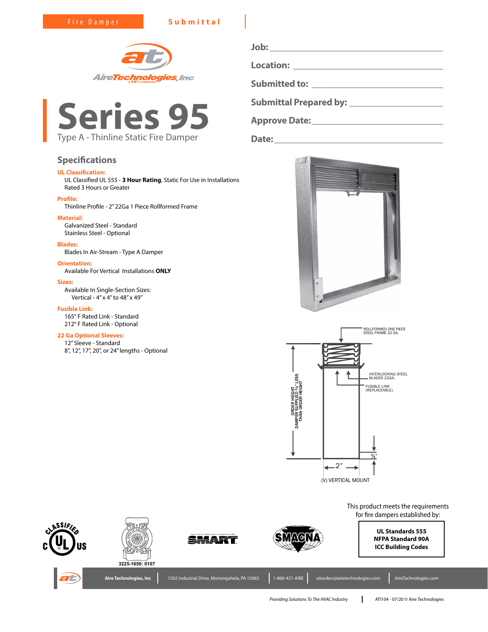Fire Damper **Submittal**





# **Specifications**

# **UL Classification:**

UL Classified UL 555 - **3 Hour Rating**, Static For Use in Installations Rated 3 Hours or Greater

### **Profile:**

Thinline Profile - 2" 22Ga 1 Piece Rollformed Frame

# **Material:**

Galvanized Steel - Standard Stainless Steel - Optional

### **Blades:**

Blades In Air-Stream - Type A Damper

**Orientation:** Available For Vertical Installations **ONLY**

# **Sizes:**

Available In Single-Section Sizes: Vertical - 4" x 4" to 48" x 49"

### **Fusible Link:**

165° F Rated Link - Standard 212° F Rated Link - Optional

# **22 Ga Optional Sleeves:**

12" Sleeve - Standard 8", 12", 17", 20", or 24" lengths - Optional **Job: \_\_\_\_\_\_\_\_\_\_\_\_\_\_\_\_\_\_\_\_\_\_\_\_\_\_\_\_\_\_\_\_\_\_\_\_\_ Location: \_\_\_\_\_\_\_\_\_\_\_\_\_\_\_\_\_\_\_\_\_\_\_\_\_\_\_\_\_\_\_\_ Submitted to: \_\_\_\_\_\_\_\_\_\_\_\_\_\_\_\_\_\_\_\_\_\_\_\_\_\_\_\_ Submittal Prepared by: \_\_\_\_\_\_\_\_\_\_\_\_\_\_\_\_\_\_\_\_ Approve Date:\_\_\_\_\_\_\_\_\_\_\_\_\_\_\_\_\_\_\_\_\_\_\_\_\_\_\_\_**

**Date:\_\_\_\_\_\_\_\_\_\_\_\_\_\_\_\_\_\_\_\_\_\_\_\_\_\_\_\_\_\_\_\_\_\_\_\_**







*Providing Solutions To The HVAC Industry* ATI104 - 07/20 © Aire Technologies